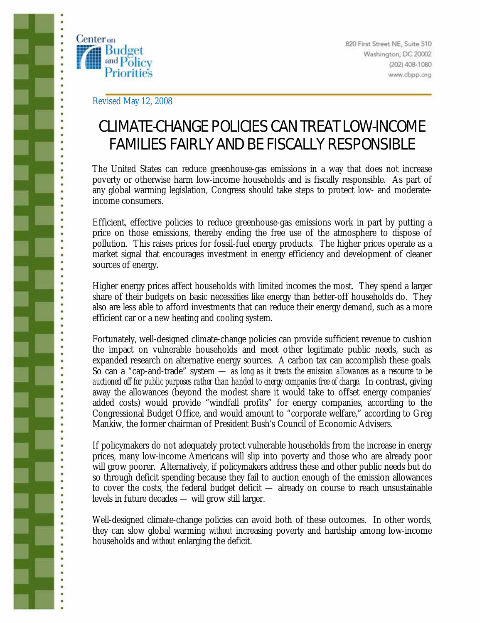

ï ċ

ò

Revised May 12, 2008

# CLIMATE-CHANGE POLICIES CAN TREAT LOW-INCOME FAMILIES FAIRLY AND BE FISCALLY RESPONSIBLE

The United States can reduce greenhouse-gas emissions in a way that does not increase poverty or otherwise harm low-income households and is fiscally responsible. As part of any global warming legislation, Congress should take steps to protect low- and moderateincome consumers.

Efficient, effective policies to reduce greenhouse-gas emissions work in part by putting a price on those emissions, thereby ending the free use of the atmosphere to dispose of pollution. This raises prices for fossil-fuel energy products. The higher prices operate as a market signal that encourages investment in energy efficiency and development of cleaner sources of energy.

Higher energy prices affect households with limited incomes the most. They spend a larger share of their budgets on basic necessities like energy than better-off households do. They also are less able to afford investments that can reduce their energy demand, such as a more efficient car or a new heating and cooling system.

Fortunately, well-designed climate-change policies can provide sufficient revenue to cushion the impact on vulnerable households and meet other legitimate public needs, such as expanded research on alternative energy sources. A carbon tax can accomplish these goals. So can a "cap-and-trade" system — *as long as it treats the emission allowances as a resource to be auctioned off for public purposes rather than handed to energy companies free of charge.* In contrast, giving away the allowances (beyond the modest share it would take to offset energy companies' added costs) would provide "windfall profits" for energy companies, according to the Congressional Budget Office, and would amount to "corporate welfare," according to Greg Mankiw, the former chairman of President Bush's Council of Economic Advisers.

If policymakers do not adequately protect vulnerable households from the increase in energy prices, many low-income Americans will slip into poverty and those who are already poor will grow poorer. Alternatively, if policymakers address these and other public needs but do so through deficit spending because they fail to auction enough of the emission allowances to cover the costs, the federal budget deficit — already on course to reach unsustainable levels in future decades — will grow still larger.

Well-designed climate-change policies can avoid both of these outcomes. In other words, they can slow global warming *without* increasing poverty and hardship among low-income households and *without* enlarging the deficit.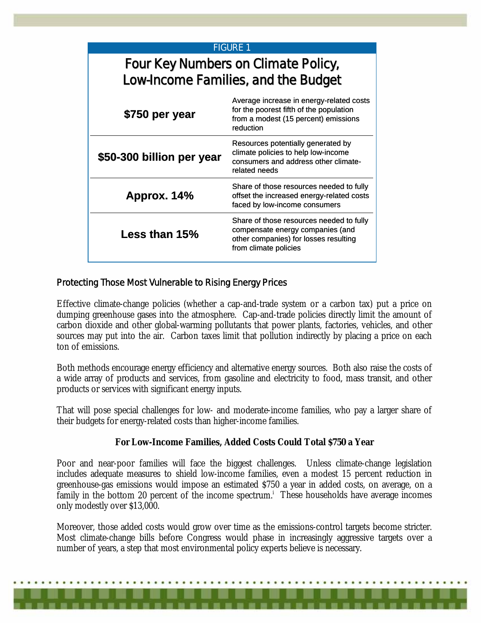| <b>FIGURE 1</b>                                                            |                                                                                                                                                |
|----------------------------------------------------------------------------|------------------------------------------------------------------------------------------------------------------------------------------------|
| Four Key Numbers on Climate Policy,<br>Low-Income Families, and the Budget |                                                                                                                                                |
| \$750 per year                                                             | Average increase in energy-related costs<br>for the poorest fifth of the population<br>from a modest (15 percent) emissions<br>reduction       |
| \$50-300 billion per year                                                  | Resources potentially generated by<br>climate policies to help low-income<br>consumers and address other climate-<br>related needs             |
| Approx. 14%                                                                | Share of those resources needed to fully<br>offset the increased energy-related costs<br>faced by low-income consumers                         |
| Less than 15%                                                              | Share of those resources needed to fully<br>compensate energy companies (and<br>other companies) for losses resulting<br>from climate policies |

# Protecting Those Most Vulnerable to Rising Energy Prices

Effective climate-change policies (whether a cap-and-trade system or a carbon tax) put a price on dumping greenhouse gases into the atmosphere. Cap-and-trade policies directly limit the amount of carbon dioxide and other global-warming pollutants that power plants, factories, vehicles, and other sources may put into the air. Carbon taxes limit that pollution indirectly by placing a price on each ton of emissions.

Both methods encourage energy efficiency and alternative energy sources. Both also raise the costs of a wide array of products and services, from gasoline and electricity to food, mass transit, and other products or services with significant energy inputs.

That will pose special challenges for low- and moderate-income families, who pay a larger share of their budgets for energy-related costs than higher-income families.

### **For Low-Income Families, Added Costs Could Total \$750 a Year**

Poor and near-poor families will face the biggest challenges. Unless climate-change legislation includes adequate measures to shield low-income families, even a modest 15 percent reduction in greenhouse-gas emissions would impose an estimated \$750 a year in added costs, on average, on a family in the bottom 20 percent of the income spectrum.<sup>i</sup> These households have average incomes only modestly over \$13,000.

Moreover, those added costs would grow over time as the emissions-control targets become stricter. Most climate-change bills before Congress would phase in increasingly aggressive targets over a number of years, a step that most environmental policy experts believe is necessary.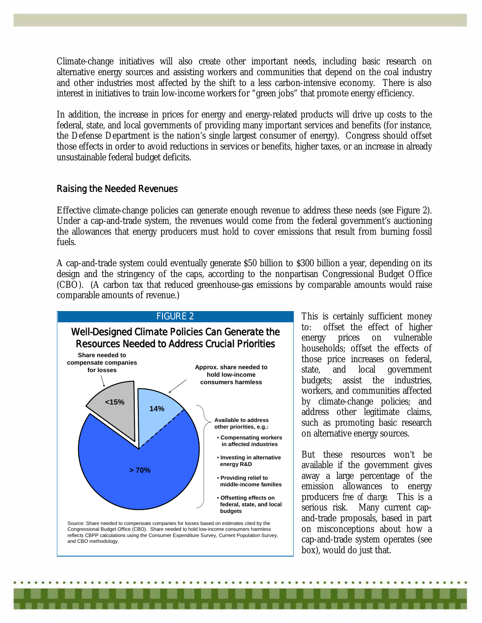Climate-change initiatives will also create other important needs, including basic research on alternative energy sources and assisting workers and communities that depend on the coal industry and other industries most affected by the shift to a less carbon-intensive economy. There is also interest in initiatives to train low-income workers for "green jobs" that promote energy efficiency.

In addition, the increase in prices for energy and energy-related products will drive up costs to the federal, state, and local governments of providing many important services and benefits (for instance, the Defense Department is the nation's single largest consumer of energy). Congress should offset those effects in order to avoid reductions in services or benefits, higher taxes, or an increase in already unsustainable federal budget deficits.

#### Raising the Needed Revenues

Effective climate-change policies can generate enough revenue to address these needs (see Figure 2). Under a cap-and-trade system, the revenues would come from the federal government's auctioning the allowances that energy producers must hold to cover emissions that result from burning fossil fuels.

A cap-and-trade system could eventually generate \$50 billion to \$300 billion a year, depending on its design and the stringency of the caps, according to the nonpartisan Congressional Budget Office (CBO). (A carbon tax that reduced greenhouse-gas emissions by comparable amounts would raise comparable amounts of revenue.)



This is certainly sufficient money to: offset the effect of higher energy prices on vulnerable households; offset the effects of those price increases on federal, state, and local government budgets; assist the industries, workers, and communities affected by climate-change policies; and address other legitimate claims, such as promoting basic research on alternative energy sources.

But these resources won't be available if the government gives away a large percentage of the emission allowances to energy producers *free of charge.* This is a serious risk. Many current capand-trade proposals, based in part on misconceptions about how a cap-and-trade system operates (see box), would do just that.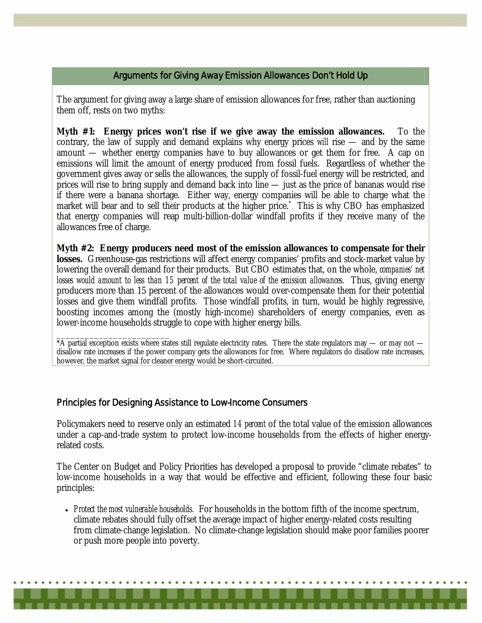## Arguments for Giving Away Emission Allowances Don't Hold Up

The argument for giving away a large share of emission allowances for free, rather than auctioning them off, rests on two myths:

**Myth #1: Energy prices won't rise if we give away the emission allowances.** To the contrary, the law of supply and demand explains why energy prices *will* rise — and by the same amount — whether energy companies have to buy allowances or get them for free. A cap on emissions will limit the amount of energy produced from fossil fuels. Regardless of whether the government gives away or sells the allowances, the supply of fossil-fuel energy will be restricted, and prices will rise to bring supply and demand back into line — just as the price of bananas would rise if there were a banana shortage. Either way, energy companies will be able to charge what the market will bear and to sell their products at the higher price.\* This is why CBO has emphasized that energy companies will reap multi-billion-dollar windfall profits if they receive many of the allowances free of charge.

**Myth #2: Energy producers need most of the emission allowances to compensate for their**  losses. Greenhouse-gas restrictions will affect energy companies' profits and stock-market value by lowering the overall demand for their products. But CBO estimates that, on the whole, *companies' net losses would amount to less than 15 percent of the total value of the emission allowances.* Thus, giving energy producers more than 15 percent of the allowances would over-compensate them for their potential losses and give them windfall profits. Those windfall profits, in turn, would be highly regressive, boosting incomes among the (mostly high-income) shareholders of energy companies, even as lower-income households struggle to cope with higher energy bills.

\_\_\_\_\_\_\_\_\_\_\_\_\_\_\_\_\_\_\_\_\_\_\_\_  $*$ A partial exception exists where states still regulate electricity rates. There the state regulators may  $-$  or may not  $$ disallow rate increases if the power company gets the allowances for free. Where regulators do disallow rate increases, however, the market signal for cleaner energy would be short-circuited.

## Principles for Designing Assistance to Low-Income Consumers

Policymakers need to reserve only an estimated *14 percent* of the total value of the emission allowances under a cap-and-trade system to protect low-income households from the effects of higher energyrelated costs.

The Center on Budget and Policy Priorities has developed a proposal to provide "climate rebates" to low-income households in a way that would be effective and efficient, following these four basic principles:

• *Protect the most vulnerable households.* For households in the bottom fifth of the income spectrum, climate rebates should fully offset the average impact of higher energy-related costs resulting from climate-change legislation. No climate-change legislation should make poor families poorer or push more people into poverty.